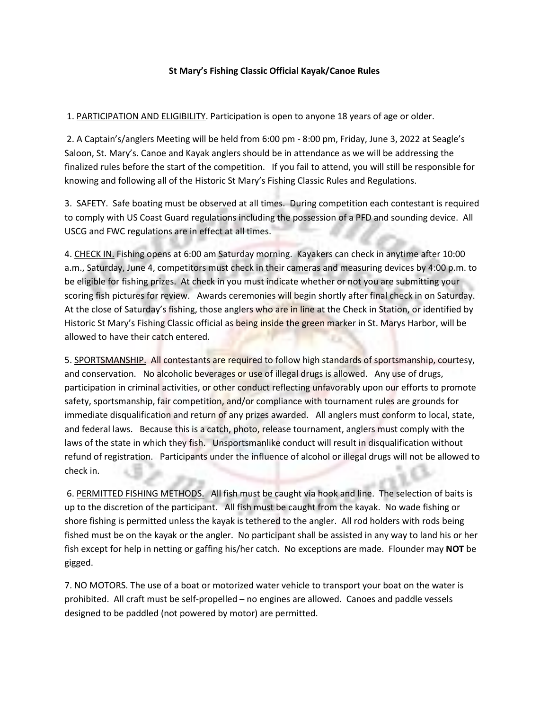## **St Mary's Fishing Classic Official Kayak/Canoe Rules**

1. PARTICIPATION AND ELIGIBILITY. Participation is open to anyone 18 years of age or older.

2. A Captain's/anglers Meeting will be held from 6:00 pm - 8:00 pm, Friday, June 3, 2022 at Seagle's Saloon, St. Mary's. Canoe and Kayak anglers should be in attendance as we will be addressing the finalized rules before the start of the competition. If you fail to attend, you will still be responsible for knowing and following all of the Historic St Mary's Fishing Classic Rules and Regulations.

3. SAFETY. Safe boating must be observed at all times. During competition each contestant is required to comply with US Coast Guard regulations including the possession of a PFD and sounding device. All USCG and FWC regulations are in effect at all times.

4. CHECK IN. Fishing opens at 6:00 am Saturday morning. Kayakers can check in anytime after 10:00 a.m., Saturday, June 4, competitors must check in their cameras and measuring devices by 4:00 p.m. to be eligible for fishing prizes. At check in you must indicate whether or not you are submitting your scoring fish pictures for review. Awards ceremonies will begin shortly after final check in on Saturday. At the close of Saturday's fishing, those anglers who are in line at the Check in Station, or identified by Historic St Mary's Fishing Classic official as being inside the green marker in St. Marys Harbor, will be allowed to have their catch entered.

5. SPORTSMANSHIP. All contestants are required to follow high standards of sportsmanship, courtesy, and conservation. No alcoholic beverages or use of illegal drugs is allowed. Any use of drugs, participation in criminal activities, or other conduct reflecting unfavorably upon our efforts to promote safety, sportsmanship, fair competition, and/or compliance with tournament rules are grounds for immediate disqualification and return of any prizes awarded. All anglers must conform to local, state, and federal laws. Because this is a catch, photo, release tournament, anglers must comply with the laws of the state in which they fish. Unsportsmanlike conduct will result in disqualification without refund of registration. Participants under the influence of alcohol or illegal drugs will not be allowed to check in.

6. PERMITTED FISHING METHODS. All fish must be caught via hook and line. The selection of baits is up to the discretion of the participant. All fish must be caught from the kayak. No wade fishing or shore fishing is permitted unless the kayak is tethered to the angler. All rod holders with rods being fished must be on the kayak or the angler. No participant shall be assisted in any way to land his or her fish except for help in netting or gaffing his/her catch. No exceptions are made. Flounder may **NOT** be gigged.

7. NO MOTORS. The use of a boat or motorized water vehicle to transport your boat on the water is prohibited. All craft must be self-propelled – no engines are allowed. Canoes and paddle vessels designed to be paddled (not powered by motor) are permitted.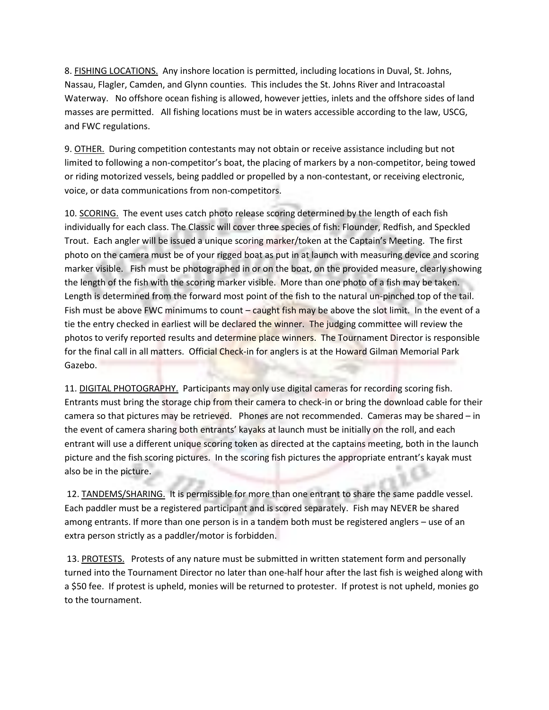8. FISHING LOCATIONS. Any inshore location is permitted, including locations in Duval, St. Johns, Nassau, Flagler, Camden, and Glynn counties. This includes the St. Johns River and Intracoastal Waterway. No offshore ocean fishing is allowed, however jetties, inlets and the offshore sides of land masses are permitted. All fishing locations must be in waters accessible according to the law, USCG, and FWC regulations.

9. OTHER. During competition contestants may not obtain or receive assistance including but not limited to following a non-competitor's boat, the placing of markers by a non-competitor, being towed or riding motorized vessels, being paddled or propelled by a non-contestant, or receiving electronic, voice, or data communications from non-competitors.

10. SCORING. The event uses catch photo release scoring determined by the length of each fish individually for each class. The Classic will cover three species of fish: Flounder, Redfish, and Speckled Trout. Each angler will be issued a unique scoring marker/token at the Captain's Meeting. The first photo on the camera must be of your rigged boat as put in at launch with measuring device and scoring marker visible. Fish must be photographed in or on the boat, on the provided measure, clearly showing the length of the fish with the scoring marker visible. More than one photo of a fish may be taken. Length is determined from the forward most point of the fish to the natural un-pinched top of the tail. Fish must be above FWC minimums to count – caught fish may be above the slot limit. In the event of a tie the entry checked in earliest will be declared the winner. The judging committee will review the photos to verify reported results and determine place winners. The Tournament Director is responsible for the final call in all matters. Official Check-in for anglers is at the Howard Gilman Memorial Park Gazebo.

11. DIGITAL PHOTOGRAPHY. Participants may only use digital cameras for recording scoring fish. Entrants must bring the storage chip from their camera to check-in or bring the download cable for their camera so that pictures may be retrieved. Phones are not recommended. Cameras may be shared – in the event of camera sharing both entrants' kayaks at launch must be initially on the roll, and each entrant will use a different unique scoring token as directed at the captains meeting, both in the launch picture and the fish scoring pictures. In the scoring fish pictures the appropriate entrant's kayak must also be in the picture.

12. TANDEMS/SHARING. It is permissible for more than one entrant to share the same paddle vessel. Each paddler must be a registered participant and is scored separately. Fish may NEVER be shared among entrants. If more than one person is in a tandem both must be registered anglers – use of an extra person strictly as a paddler/motor is forbidden.

13. PROTESTS. Protests of any nature must be submitted in written statement form and personally turned into the Tournament Director no later than one-half hour after the last fish is weighed along with a \$50 fee. If protest is upheld, monies will be returned to protester. If protest is not upheld, monies go to the tournament.